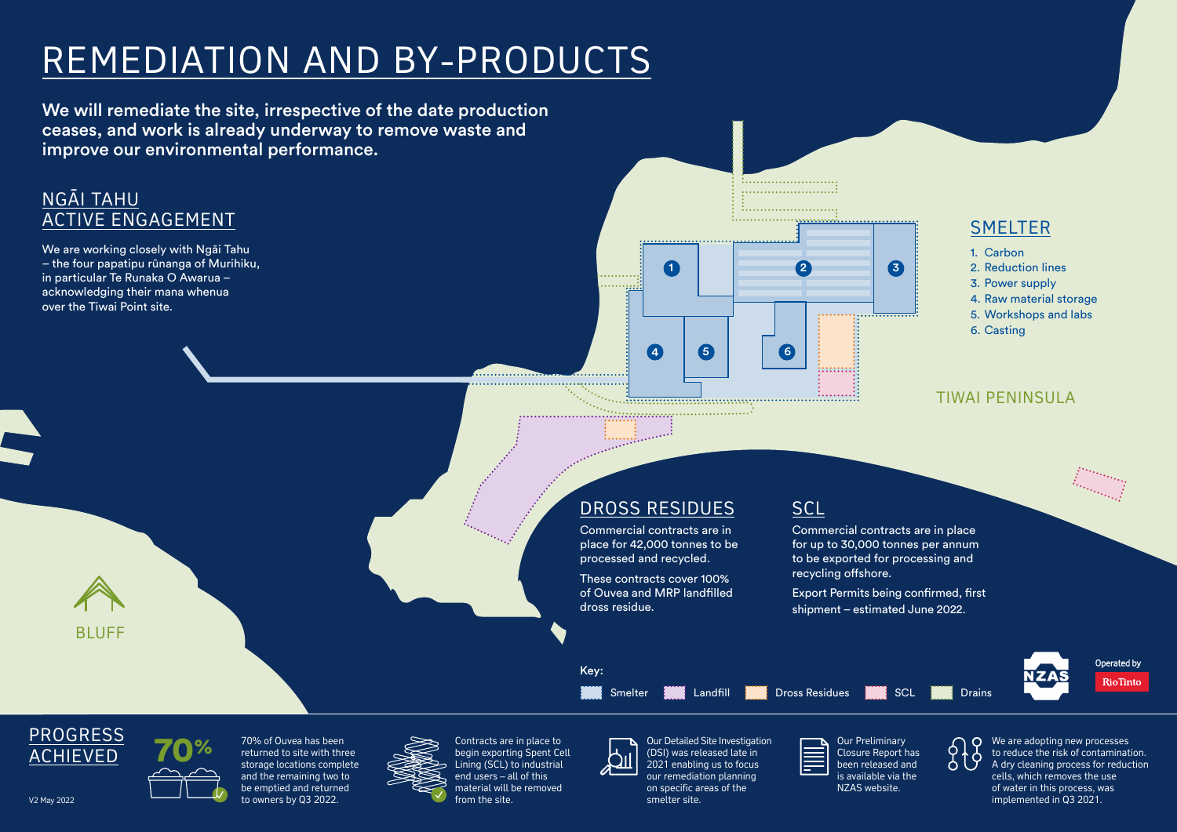# REMEDIATION AND BY-PRODUCTS

We will remediate the site, irrespective of the date production ceases, and work is already underway to remove waste and improve our environmental performance.

# <u>NGĀI TAHU</u> ACTIVE ENGAGEMENT

We are working closely with Ngāi Tahu - the four papatipu rūnanga of Murihiku, in particular Te Runaka O Awarua – acknowledging their mana whenua over the Tiwai Point site.

# DROSS RESIDUES

Commercial contracts are in place for 42,000 tonnes to be processed and recycled.

These contracts cover 100% of Ouvea and MRP landfilled dross residue.

Commercial contracts are in place for up to 30,000 tonnes per annum to be exported for processing and recycling offshore.

Export Permits being confirmed, first shipment – estimated June 2022.

TO% of Ouvea has been contracts are in place to<br>
Thing (SCL) to industrial COM anabling us to focus<br>
Lining (SCL) to industrial COM anabling us to focus<br>
2021 enabling us to focus<br>
2021 enabling us to focus<br>
Lining (SCL) t to reduce the risk of contamination. A dry cleaning process for reduction cells, which removes the use of water in this process, was implemented in Q3 2021.

- 1. Carbon
- 2. Reduction lines
- 3. Power supply
- 4. Raw material storage
- 5. Workshops and labs
- 6. Casting



 $\begin{bmatrix} 1 & 0 & 0 & 0 & 0 \\ 0 & 0 & 0 & 0 & 0 & 0 \\ 0 & 0 & 0 & 0 & 0 & 0 \\ 0 & 0 & 0 & 0 & 0 & 0 \\ 0 & 0 & 0 & 0 & 0 & 0 \\ 0 & 0 & 0 & 0 & 0 & 0 \\ 0 & 0 & 0 & 0 & 0 & 0 \\ 0 & 0 & 0 & 0 & 0 & 0 & 0 \\ 0 & 0 & 0 & 0 & 0 & 0 & 0 \\ 0 & 0 & 0 & 0 & 0 & 0 & 0 \\ 0 & 0 & 0 & 0 & 0 & 0 & 0 & 0 \\ 0 &$ 

# **SCL**

BLUFF





Operated by RioTinto

Key:

## TIWAI PENINSULA





Contracts are in place to begin exporting Spent Cell Lining (SCL) to industrial end users – all of this material will be removed from the site.



70% of Ouvea has been returned to site with three storage locations complete and the remaining two to be emptied and returned to owners by Q3 2022.



Our Detailed Site Investigation (DSI) was released late in 2021 enabling us to focus our remediation planning on specific areas of the smelter site.

Our Preliminary

Closure Report has been released and is available via the NZAS website.





# **SMELTER**